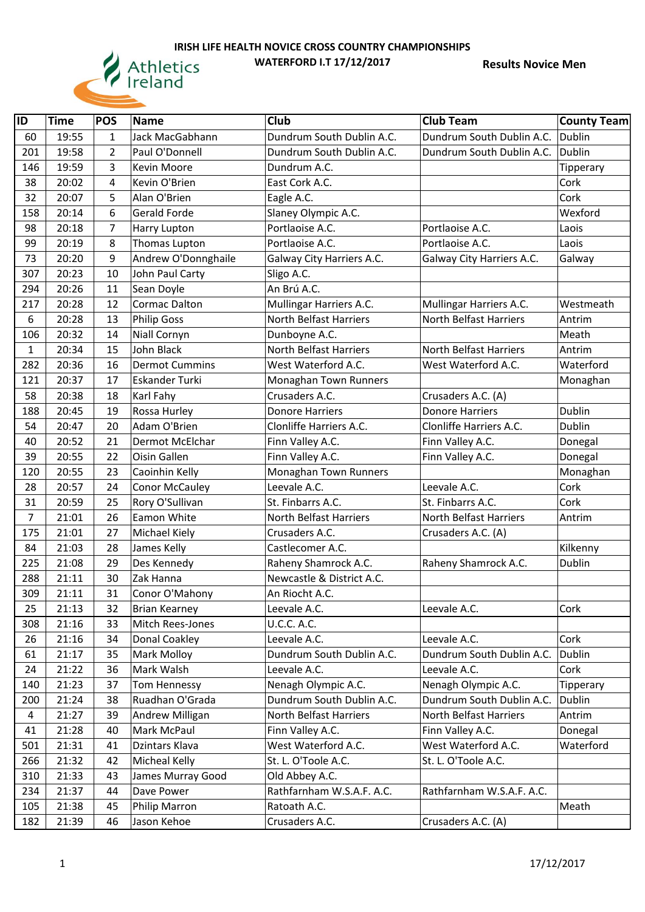

| $\overline{1}$ | <b>Time</b> | <b>POS</b>     | <b>Name</b>           | Club                          | <b>Club Team</b>              | <b>County Team</b> |
|----------------|-------------|----------------|-----------------------|-------------------------------|-------------------------------|--------------------|
| 60             | 19:55       | $\mathbf{1}$   | Jack MacGabhann       | Dundrum South Dublin A.C.     | Dundrum South Dublin A.C.     | Dublin             |
| 201            | 19:58       | 2              | Paul O'Donnell        | Dundrum South Dublin A.C.     | Dundrum South Dublin A.C.     | <b>Dublin</b>      |
| 146            | 19:59       | 3              | Kevin Moore           | Dundrum A.C.                  |                               | Tipperary          |
| 38             | 20:02       | 4              | Kevin O'Brien         | East Cork A.C.                |                               | Cork               |
| 32             | 20:07       | 5              | Alan O'Brien          | Eagle A.C.                    |                               | Cork               |
| 158            | 20:14       | 6              | Gerald Forde          | Slaney Olympic A.C.           |                               | Wexford            |
| 98             | 20:18       | $\overline{7}$ | Harry Lupton          | Portlaoise A.C.               | Portlaoise A.C.               | Laois              |
| 99             | 20:19       | 8              | Thomas Lupton         | Portlaoise A.C.               | Portlaoise A.C.               | Laois              |
| 73             | 20:20       | 9              | Andrew O'Donnghaile   | Galway City Harriers A.C.     | Galway City Harriers A.C.     | Galway             |
| 307            | 20:23       | 10             | John Paul Carty       | Sligo A.C.                    |                               |                    |
| 294            | 20:26       | 11             | Sean Doyle            | An Brú A.C.                   |                               |                    |
| 217            | 20:28       | 12             | <b>Cormac Dalton</b>  | Mullingar Harriers A.C.       | Mullingar Harriers A.C.       | Westmeath          |
| $6\,$          | 20:28       | 13             | <b>Philip Goss</b>    | North Belfast Harriers        | North Belfast Harriers        | Antrim             |
| 106            | 20:32       | 14             | Niall Cornyn          | Dunboyne A.C.                 |                               | Meath              |
| $\mathbf{1}$   | 20:34       | 15             | John Black            | <b>North Belfast Harriers</b> | <b>North Belfast Harriers</b> | Antrim             |
| 282            | 20:36       | 16             | <b>Dermot Cummins</b> | West Waterford A.C.           | West Waterford A.C.           | Waterford          |
| 121            | 20:37       | 17             | Eskander Turki        | Monaghan Town Runners         |                               | Monaghan           |
| 58             | 20:38       | 18             | Karl Fahy             | Crusaders A.C.                | Crusaders A.C. (A)            |                    |
| 188            | 20:45       | 19             | Rossa Hurley          | <b>Donore Harriers</b>        | <b>Donore Harriers</b>        | <b>Dublin</b>      |
| 54             | 20:47       | 20             | Adam O'Brien          | Clonliffe Harriers A.C.       | Clonliffe Harriers A.C.       | Dublin             |
| 40             | 20:52       | 21             | Dermot McElchar       | Finn Valley A.C.              | Finn Valley A.C.              | Donegal            |
| 39             | 20:55       | 22             | Oisin Gallen          | Finn Valley A.C.              | Finn Valley A.C.              | Donegal            |
| 120            | 20:55       | 23             | Caoinhin Kelly        | Monaghan Town Runners         |                               | Monaghan           |
| 28             | 20:57       | 24             | <b>Conor McCauley</b> | Leevale A.C.                  | Leevale A.C.                  | Cork               |
| 31             | 20:59       | 25             | Rory O'Sullivan       | St. Finbarrs A.C.             | St. Finbarrs A.C.             | Cork               |
| $\overline{7}$ | 21:01       | 26             | Eamon White           | North Belfast Harriers        | <b>North Belfast Harriers</b> | Antrim             |
| 175            | 21:01       | 27             | Michael Kiely         | Crusaders A.C.                | Crusaders A.C. (A)            |                    |
| 84             | 21:03       | 28             | James Kelly           | Castlecomer A.C.              |                               | Kilkenny           |
| 225            | 21:08       | 29             | Des Kennedy           | Raheny Shamrock A.C.          | Raheny Shamrock A.C.          | <b>Dublin</b>      |
| 288            | 21:11       | 30             | Zak Hanna             | Newcastle & District A.C.     |                               |                    |
| 309            | 21:11       | 31             | Conor O'Mahony        | An Riocht A.C.                |                               |                    |
| 25             | 21:13       | 32             | <b>Brian Kearney</b>  | Leevale A.C.                  | Leevale A.C.                  | Cork               |
| 308            | 21:16       | 33             | Mitch Rees-Jones      | <b>U.C.C. A.C.</b>            |                               |                    |
| 26             | 21:16       | 34             | Donal Coakley         | Leevale A.C.                  | Leevale A.C.                  | Cork               |
| 61             | 21:17       | 35             | Mark Molloy           | Dundrum South Dublin A.C.     | Dundrum South Dublin A.C.     | <b>Dublin</b>      |
| 24             | 21:22       | 36             | Mark Walsh            | Leevale A.C.                  | Leevale A.C.                  | Cork               |
| 140            | 21:23       | 37             | <b>Tom Hennessy</b>   | Nenagh Olympic A.C.           | Nenagh Olympic A.C.           | Tipperary          |
| 200            | 21:24       | 38             | Ruadhan O'Grada       | Dundrum South Dublin A.C.     | Dundrum South Dublin A.C.     | <b>Dublin</b>      |
| $\overline{4}$ | 21:27       | 39             | Andrew Milligan       | North Belfast Harriers        | North Belfast Harriers        | Antrim             |
| 41             | 21:28       | 40             | Mark McPaul           | Finn Valley A.C.              | Finn Valley A.C.              | Donegal            |
| 501            | 21:31       | 41             | Dzintars Klava        | West Waterford A.C.           | West Waterford A.C.           | Waterford          |
| 266            | 21:32       | 42             | Micheal Kelly         | St. L. O'Toole A.C.           | St. L. O'Toole A.C.           |                    |
| 310            | 21:33       | 43             | James Murray Good     | Old Abbey A.C.                |                               |                    |
| 234            | 21:37       | 44             | Dave Power            | Rathfarnham W.S.A.F. A.C.     | Rathfarnham W.S.A.F. A.C.     |                    |
| 105            | 21:38       | 45             | Philip Marron         | Ratoath A.C.                  |                               | Meath              |
| 182            | 21:39       | 46             | Jason Kehoe           | Crusaders A.C.                | Crusaders A.C. (A)            |                    |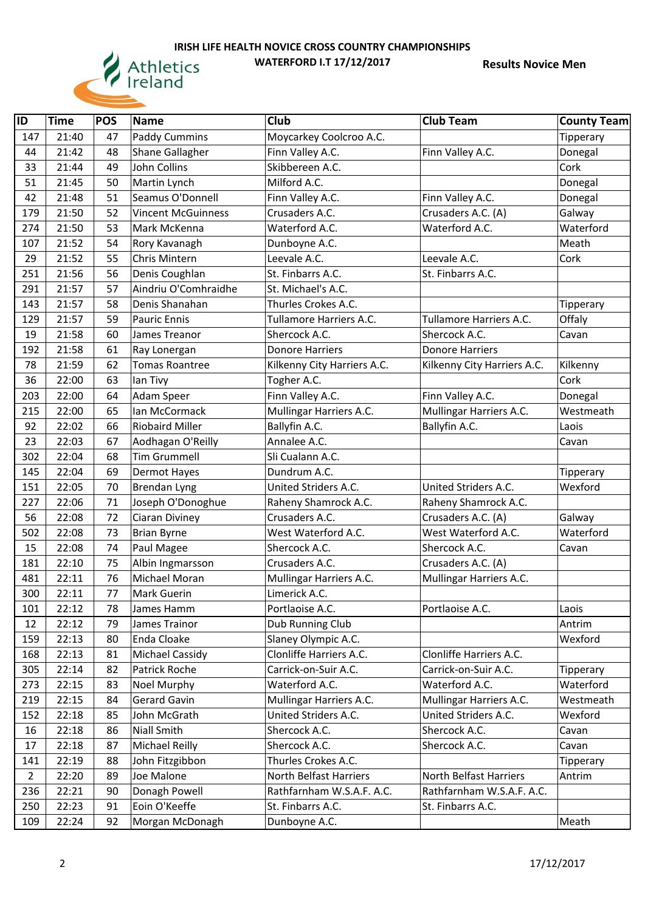

| ID             | <b>Time</b> | <b>POS</b> | <b>Name</b>               | Club                        | <b>Club Team</b>            | <b>County Team</b> |
|----------------|-------------|------------|---------------------------|-----------------------------|-----------------------------|--------------------|
| 147            | 21:40       | 47         | <b>Paddy Cummins</b>      | Moycarkey Coolcroo A.C.     |                             | Tipperary          |
| 44             | 21:42       | 48         | Shane Gallagher           | Finn Valley A.C.            | Finn Valley A.C.            | Donegal            |
| 33             | 21:44       | 49         | <b>John Collins</b>       | Skibbereen A.C.             |                             | Cork               |
| 51             | 21:45       | 50         | Martin Lynch              | Milford A.C.                |                             | Donegal            |
| 42             | 21:48       | 51         | Seamus O'Donnell          | Finn Valley A.C.            | Finn Valley A.C.            | Donegal            |
| 179            | 21:50       | 52         | <b>Vincent McGuinness</b> | Crusaders A.C.              | Crusaders A.C. (A)          | Galway             |
| 274            | 21:50       | 53         | Mark McKenna              | Waterford A.C.              | Waterford A.C.              | Waterford          |
| 107            | 21:52       | 54         | Rory Kavanagh             | Dunboyne A.C.               |                             | Meath              |
| 29             | 21:52       | 55         | Chris Mintern             | Leevale A.C.                | Leevale A.C.                | Cork               |
| 251            | 21:56       | 56         | Denis Coughlan            | St. Finbarrs A.C.           | St. Finbarrs A.C.           |                    |
| 291            | 21:57       | 57         | Aindriu O'Comhraidhe      | St. Michael's A.C.          |                             |                    |
| 143            | 21:57       | 58         | Denis Shanahan            | Thurles Crokes A.C.         |                             | Tipperary          |
| 129            | 21:57       | 59         | Pauric Ennis              | Tullamore Harriers A.C.     | Tullamore Harriers A.C.     | Offaly             |
| 19             | 21:58       | 60         | James Treanor             | Shercock A.C.               | Shercock A.C.               | Cavan              |
| 192            | 21:58       | 61         | Ray Lonergan              | <b>Donore Harriers</b>      | <b>Donore Harriers</b>      |                    |
| 78             | 21:59       | 62         | <b>Tomas Roantree</b>     | Kilkenny City Harriers A.C. | Kilkenny City Harriers A.C. | Kilkenny           |
| 36             | 22:00       | 63         | lan Tivy                  | Togher A.C.                 |                             | Cork               |
| 203            | 22:00       | 64         | Adam Speer                | Finn Valley A.C.            | Finn Valley A.C.            | Donegal            |
| 215            | 22:00       | 65         | <b>Ian McCormack</b>      | Mullingar Harriers A.C.     | Mullingar Harriers A.C.     | Westmeath          |
| 92             | 22:02       | 66         | <b>Riobaird Miller</b>    | Ballyfin A.C.               | Ballyfin A.C.               | Laois              |
| 23             | 22:03       | 67         | Aodhagan O'Reilly         | Annalee A.C.                |                             | Cavan              |
| 302            | 22:04       | 68         | <b>Tim Grummell</b>       | Sli Cualann A.C.            |                             |                    |
| 145            | 22:04       | 69         | Dermot Hayes              | Dundrum A.C.                |                             | Tipperary          |
| 151            | 22:05       | 70         | Brendan Lyng              | United Striders A.C.        | United Striders A.C.        | Wexford            |
| 227            | 22:06       | 71         | Joseph O'Donoghue         | Raheny Shamrock A.C.        | Raheny Shamrock A.C.        |                    |
| 56             | 22:08       | 72         | Ciaran Diviney            | Crusaders A.C.              | Crusaders A.C. (A)          | Galway             |
| 502            | 22:08       | 73         | <b>Brian Byrne</b>        | West Waterford A.C.         | West Waterford A.C.         | Waterford          |
| 15             | 22:08       | 74         | Paul Magee                | Shercock A.C.               | Shercock A.C.               | Cavan              |
| 181            | 22:10       | 75         | Albin Ingmarsson          | Crusaders A.C.              | Crusaders A.C. (A)          |                    |
| 481            | 22:11       | 76         | Michael Moran             | Mullingar Harriers A.C.     | Mullingar Harriers A.C.     |                    |
| 300            | 22:11       | 77         | Mark Guerin               | Limerick A.C.               |                             |                    |
| 101            | 22:12       | 78         | James Hamm                | Portlaoise A.C.             | Portlaoise A.C.             | Laois              |
| 12             | 22:12       | 79         | James Trainor             | Dub Running Club            |                             | Antrim             |
| 159            | 22:13       | 80         | Enda Cloake               | Slaney Olympic A.C.         |                             | Wexford            |
| 168            | 22:13       | 81         | Michael Cassidy           | Clonliffe Harriers A.C.     | Clonliffe Harriers A.C.     |                    |
| 305            | 22:14       | 82         | Patrick Roche             | Carrick-on-Suir A.C.        | Carrick-on-Suir A.C.        | Tipperary          |
| 273            | 22:15       | 83         | Noel Murphy               | Waterford A.C.              | Waterford A.C.              | Waterford          |
| 219            | 22:15       | 84         | Gerard Gavin              | Mullingar Harriers A.C.     | Mullingar Harriers A.C.     | Westmeath          |
| 152            | 22:18       | 85         | John McGrath              | United Striders A.C.        | United Striders A.C.        | Wexford            |
| 16             | 22:18       | 86         | <b>Niall Smith</b>        | Shercock A.C.               | Shercock A.C.               | Cavan              |
| 17             | 22:18       | 87         | <b>Michael Reilly</b>     | Shercock A.C.               | Shercock A.C.               | Cavan              |
| 141            | 22:19       | 88         | John Fitzgibbon           | Thurles Crokes A.C.         |                             | Tipperary          |
| $\overline{2}$ | 22:20       | 89         | Joe Malone                | North Belfast Harriers      | North Belfast Harriers      | Antrim             |
| 236            | 22:21       | 90         | Donagh Powell             | Rathfarnham W.S.A.F. A.C.   | Rathfarnham W.S.A.F. A.C.   |                    |
| 250            | 22:23       | 91         | Eoin O'Keeffe             | St. Finbarrs A.C.           | St. Finbarrs A.C.           |                    |
| 109            | 22:24       | 92         | Morgan McDonagh           | Dunboyne A.C.               |                             | Meath              |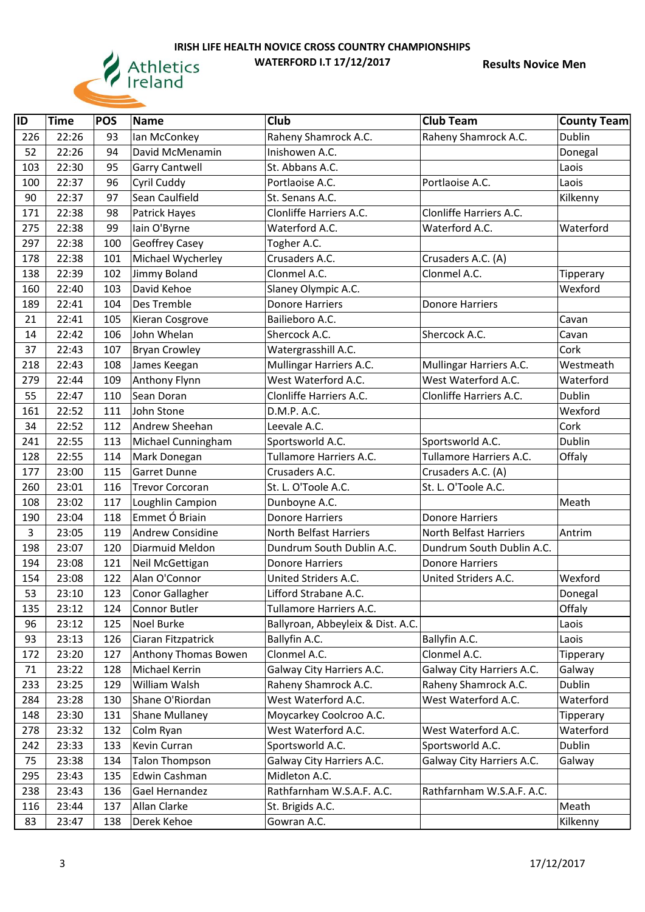

| ID  | <b>Time</b> | <b>POS</b> | <b>Name</b>             | Club                              | <b>Club Team</b>          | <b>County Team</b> |
|-----|-------------|------------|-------------------------|-----------------------------------|---------------------------|--------------------|
| 226 | 22:26       | 93         | Ian McConkey            | Raheny Shamrock A.C.              | Raheny Shamrock A.C.      | <b>Dublin</b>      |
| 52  | 22:26       | 94         | David McMenamin         | Inishowen A.C.                    |                           | Donegal            |
| 103 | 22:30       | 95         | <b>Garry Cantwell</b>   | St. Abbans A.C.                   |                           | Laois              |
| 100 | 22:37       | 96         | Cyril Cuddy             | Portlaoise A.C.                   | Portlaoise A.C.           | Laois              |
| 90  | 22:37       | 97         | Sean Caulfield          | St. Senans A.C.                   |                           | Kilkenny           |
| 171 | 22:38       | 98         | Patrick Hayes           | Clonliffe Harriers A.C.           | Clonliffe Harriers A.C.   |                    |
| 275 | 22:38       | 99         | lain O'Byrne            | Waterford A.C.                    | Waterford A.C.            | Waterford          |
| 297 | 22:38       | 100        | Geoffrey Casey          | Togher A.C.                       |                           |                    |
| 178 | 22:38       | 101        | Michael Wycherley       | Crusaders A.C.                    | Crusaders A.C. (A)        |                    |
| 138 | 22:39       | 102        | Jimmy Boland            | Clonmel A.C.                      | Clonmel A.C.              | Tipperary          |
| 160 | 22:40       | 103        | David Kehoe             | Slaney Olympic A.C.               |                           | Wexford            |
| 189 | 22:41       | 104        | Des Tremble             | <b>Donore Harriers</b>            | Donore Harriers           |                    |
| 21  | 22:41       | 105        | Kieran Cosgrove         | Bailieboro A.C.                   |                           | Cavan              |
| 14  | 22:42       | 106        | John Whelan             | Shercock A.C.                     | Shercock A.C.             | Cavan              |
| 37  | 22:43       | 107        | <b>Bryan Crowley</b>    | Watergrasshill A.C.               |                           | Cork               |
| 218 | 22:43       | 108        | James Keegan            | Mullingar Harriers A.C.           | Mullingar Harriers A.C.   | Westmeath          |
| 279 | 22:44       | 109        | Anthony Flynn           | West Waterford A.C.               | West Waterford A.C.       | Waterford          |
| 55  | 22:47       | 110        | Sean Doran              | Clonliffe Harriers A.C.           | Clonliffe Harriers A.C.   | <b>Dublin</b>      |
| 161 | 22:52       | 111        | John Stone              | D.M.P. A.C.                       |                           | Wexford            |
| 34  | 22:52       | 112        | Andrew Sheehan          | Leevale A.C.                      |                           | Cork               |
| 241 | 22:55       | 113        | Michael Cunningham      | Sportsworld A.C.                  | Sportsworld A.C.          | <b>Dublin</b>      |
| 128 | 22:55       | 114        | Mark Donegan            | Tullamore Harriers A.C.           | Tullamore Harriers A.C.   | Offaly             |
| 177 | 23:00       | 115        | <b>Garret Dunne</b>     | Crusaders A.C.                    | Crusaders A.C. (A)        |                    |
| 260 | 23:01       | 116        | <b>Trevor Corcoran</b>  | St. L. O'Toole A.C.               | St. L. O'Toole A.C.       |                    |
| 108 | 23:02       | 117        | Loughlin Campion        | Dunboyne A.C.                     |                           | Meath              |
| 190 | 23:04       | 118        | Emmet Ó Briain          | <b>Donore Harriers</b>            | <b>Donore Harriers</b>    |                    |
| 3   | 23:05       | 119        | <b>Andrew Considine</b> | North Belfast Harriers            | North Belfast Harriers    | Antrim             |
| 198 | 23:07       | 120        | Diarmuid Meldon         | Dundrum South Dublin A.C.         | Dundrum South Dublin A.C. |                    |
| 194 | 23:08       | 121        | Neil McGettigan         | <b>Donore Harriers</b>            | <b>Donore Harriers</b>    |                    |
| 154 | 23:08       | 122        | Alan O'Connor           | United Striders A.C.              | United Striders A.C.      | Wexford            |
| 53  | 23:10       | 123        | Conor Gallagher         | Lifford Strabane A.C.             |                           | Donegal            |
| 135 | 23:12       | 124        | Connor Butler           | Tullamore Harriers A.C.           |                           | Offaly             |
| 96  | 23:12       | 125        | Noel Burke              | Ballyroan, Abbeyleix & Dist. A.C. |                           | Laois              |
| 93  | 23:13       | 126        | Ciaran Fitzpatrick      | Ballyfin A.C.                     | Ballyfin A.C.             | Laois              |
| 172 | 23:20       | 127        | Anthony Thomas Bowen    | Clonmel A.C.                      | Clonmel A.C.              | Tipperary          |
| 71  | 23:22       | 128        | Michael Kerrin          | Galway City Harriers A.C.         | Galway City Harriers A.C. | Galway             |
| 233 | 23:25       | 129        | William Walsh           | Raheny Shamrock A.C.              | Raheny Shamrock A.C.      | Dublin             |
| 284 | 23:28       | 130        | Shane O'Riordan         | West Waterford A.C.               | West Waterford A.C.       | Waterford          |
| 148 | 23:30       | 131        | Shane Mullaney          | Moycarkey Coolcroo A.C.           |                           | Tipperary          |
| 278 | 23:32       | 132        | Colm Ryan               | West Waterford A.C.               | West Waterford A.C.       | Waterford          |
| 242 | 23:33       | 133        | Kevin Curran            | Sportsworld A.C.                  | Sportsworld A.C.          | Dublin             |
| 75  | 23:38       | 134        | <b>Talon Thompson</b>   | Galway City Harriers A.C.         | Galway City Harriers A.C. | Galway             |
| 295 | 23:43       | 135        | Edwin Cashman           | Midleton A.C.                     |                           |                    |
| 238 | 23:43       | 136        | Gael Hernandez          | Rathfarnham W.S.A.F. A.C.         | Rathfarnham W.S.A.F. A.C. |                    |
| 116 | 23:44       | 137        | Allan Clarke            | St. Brigids A.C.                  |                           | Meath              |
| 83  | 23:47       | 138        | Derek Kehoe             | Gowran A.C.                       |                           | Kilkenny           |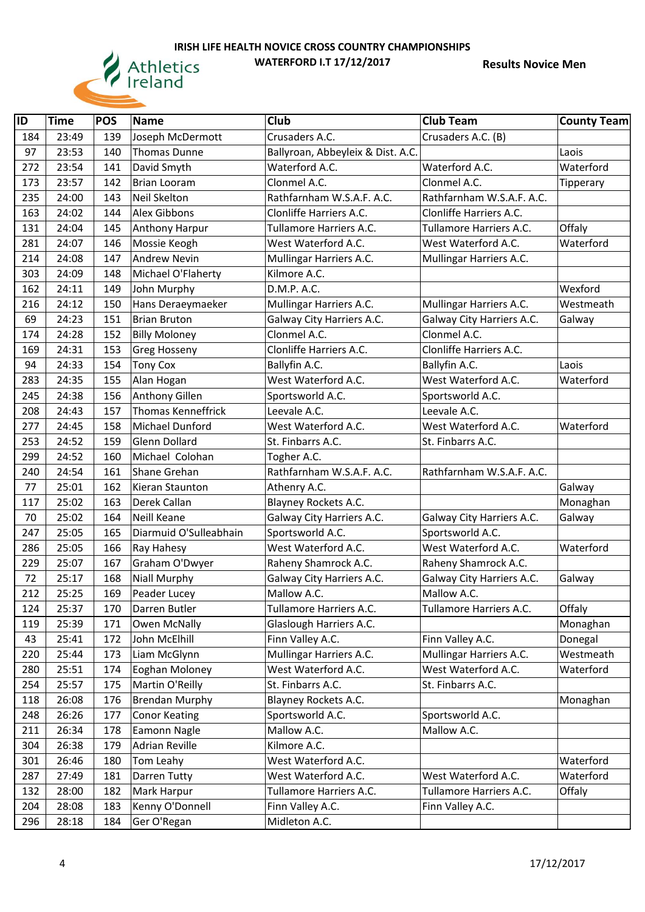

| ID  | <b>Time</b> | <b>POS</b> | <b>Name</b>               | Club                              | <b>Club Team</b>          | <b>County Team</b> |
|-----|-------------|------------|---------------------------|-----------------------------------|---------------------------|--------------------|
| 184 | 23:49       | 139        | Joseph McDermott          | Crusaders A.C.                    | Crusaders A.C. (B)        |                    |
| 97  | 23:53       | 140        | <b>Thomas Dunne</b>       | Ballyroan, Abbeyleix & Dist. A.C. |                           | Laois              |
| 272 | 23:54       | 141        | David Smyth               | Waterford A.C.                    | Waterford A.C.            | Waterford          |
| 173 | 23:57       | 142        | <b>Brian Looram</b>       | Clonmel A.C.                      | Clonmel A.C.              | Tipperary          |
| 235 | 24:00       | 143        | Neil Skelton              | Rathfarnham W.S.A.F. A.C.         | Rathfarnham W.S.A.F. A.C. |                    |
| 163 | 24:02       | 144        | Alex Gibbons              | Clonliffe Harriers A.C.           | Clonliffe Harriers A.C.   |                    |
| 131 | 24:04       | 145        | <b>Anthony Harpur</b>     | Tullamore Harriers A.C.           | Tullamore Harriers A.C.   | Offaly             |
| 281 | 24:07       | 146        | Mossie Keogh              | West Waterford A.C.               | West Waterford A.C.       | Waterford          |
| 214 | 24:08       | 147        | <b>Andrew Nevin</b>       | Mullingar Harriers A.C.           | Mullingar Harriers A.C.   |                    |
| 303 | 24:09       | 148        | Michael O'Flaherty        | Kilmore A.C.                      |                           |                    |
| 162 | 24:11       | 149        | John Murphy               | D.M.P. A.C.                       |                           | Wexford            |
| 216 | 24:12       | 150        | Hans Deraeymaeker         | Mullingar Harriers A.C.           | Mullingar Harriers A.C.   | Westmeath          |
| 69  | 24:23       | 151        | <b>Brian Bruton</b>       | Galway City Harriers A.C.         | Galway City Harriers A.C. | Galway             |
| 174 | 24:28       | 152        | <b>Billy Moloney</b>      | Clonmel A.C.                      | Clonmel A.C.              |                    |
| 169 | 24:31       | 153        | <b>Greg Hosseny</b>       | Clonliffe Harriers A.C.           | Clonliffe Harriers A.C.   |                    |
| 94  | 24:33       | 154        | <b>Tony Cox</b>           | Ballyfin A.C.                     | Ballyfin A.C.             | Laois              |
| 283 | 24:35       | 155        | Alan Hogan                | West Waterford A.C.               | West Waterford A.C.       | Waterford          |
| 245 | 24:38       | 156        | Anthony Gillen            | Sportsworld A.C.                  | Sportsworld A.C.          |                    |
| 208 | 24:43       | 157        | <b>Thomas Kenneffrick</b> | Leevale A.C.                      | Leevale A.C.              |                    |
| 277 | 24:45       | 158        | Michael Dunford           | West Waterford A.C.               | West Waterford A.C.       | Waterford          |
| 253 | 24:52       | 159        | Glenn Dollard             | St. Finbarrs A.C.                 | St. Finbarrs A.C.         |                    |
| 299 | 24:52       | 160        | Michael Colohan           | Togher A.C.                       |                           |                    |
| 240 | 24:54       | 161        | Shane Grehan              | Rathfarnham W.S.A.F. A.C.         | Rathfarnham W.S.A.F. A.C. |                    |
| 77  | 25:01       | 162        | Kieran Staunton           | Athenry A.C.                      |                           | Galway             |
| 117 | 25:02       | 163        | Derek Callan              | Blayney Rockets A.C.              |                           | Monaghan           |
| 70  | 25:02       | 164        | Neill Keane               | Galway City Harriers A.C.         | Galway City Harriers A.C. | Galway             |
| 247 | 25:05       | 165        | Diarmuid O'Sulleabhain    | Sportsworld A.C.                  | Sportsworld A.C.          |                    |
| 286 | 25:05       | 166        | Ray Hahesy                | West Waterford A.C.               | West Waterford A.C.       | Waterford          |
| 229 | 25:07       | 167        | Graham O'Dwyer            | Raheny Shamrock A.C.              | Raheny Shamrock A.C.      |                    |
| 72  | 25:17       | 168        | Niall Murphy              | Galway City Harriers A.C.         | Galway City Harriers A.C. | Galway             |
| 212 | 25:25       | 169        | Peader Lucey              | Mallow A.C.                       | Mallow A.C.               |                    |
| 124 | 25:37       | 170        | Darren Butler             | Tullamore Harriers A.C.           | Tullamore Harriers A.C.   | Offaly             |
| 119 | 25:39       | 171        | Owen McNally              | Glaslough Harriers A.C.           |                           | Monaghan           |
| 43  | 25:41       | 172        | John McElhill             | Finn Valley A.C.                  | Finn Valley A.C.          | Donegal            |
| 220 | 25:44       | 173        | Liam McGlynn              | Mullingar Harriers A.C.           | Mullingar Harriers A.C.   | Westmeath          |
| 280 | 25:51       | 174        | Eoghan Moloney            | West Waterford A.C.               | West Waterford A.C.       | Waterford          |
| 254 | 25:57       | 175        | Martin O'Reilly           | St. Finbarrs A.C.                 | St. Finbarrs A.C.         |                    |
| 118 | 26:08       | 176        | <b>Brendan Murphy</b>     | <b>Blayney Rockets A.C.</b>       |                           | Monaghan           |
| 248 | 26:26       | 177        | <b>Conor Keating</b>      | Sportsworld A.C.                  | Sportsworld A.C.          |                    |
| 211 | 26:34       | 178        | Eamonn Nagle              | Mallow A.C.                       | Mallow A.C.               |                    |
| 304 | 26:38       | 179        | <b>Adrian Reville</b>     | Kilmore A.C.                      |                           |                    |
| 301 | 26:46       | 180        | Tom Leahy                 | West Waterford A.C.               |                           | Waterford          |
| 287 | 27:49       | 181        | Darren Tutty              | West Waterford A.C.               | West Waterford A.C.       | Waterford          |
| 132 | 28:00       | 182        | Mark Harpur               | Tullamore Harriers A.C.           | Tullamore Harriers A.C.   | Offaly             |
| 204 | 28:08       | 183        | Kenny O'Donnell           | Finn Valley A.C.                  | Finn Valley A.C.          |                    |
| 296 | 28:18       | 184        | Ger O'Regan               | Midleton A.C.                     |                           |                    |